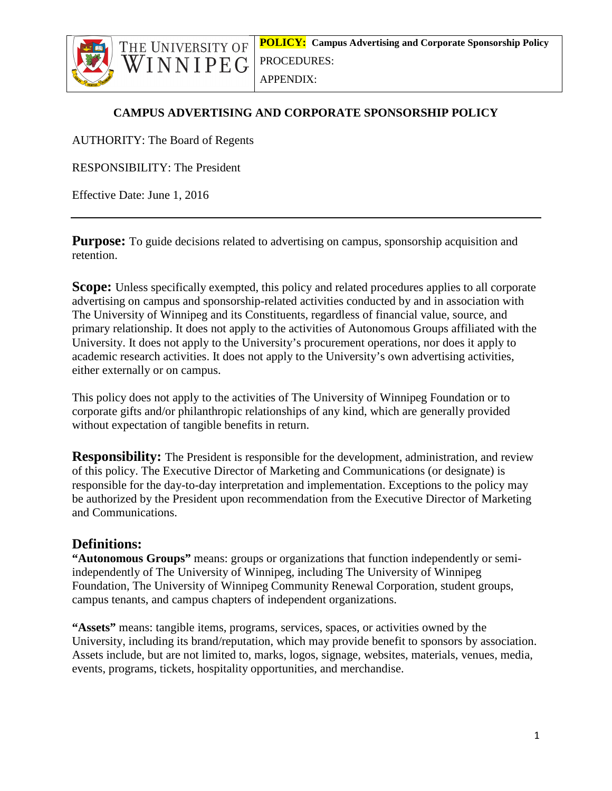



APPENDIX:

### **CAMPUS ADVERTISING AND CORPORATE SPONSORSHIP POLICY**

AUTHORITY: The Board of Regents

WINNIPEG

RESPONSIBILITY: The President

Effective Date: June 1, 2016

**Purpose:** To guide decisions related to advertising on campus, sponsorship acquisition and retention.

**Scope:** Unless specifically exempted, this policy and related procedures applies to all corporate advertising on campus and sponsorship-related activities conducted by and in association with The University of Winnipeg and its Constituents, regardless of financial value, source, and primary relationship. It does not apply to the activities of Autonomous Groups affiliated with the University. It does not apply to the University's procurement operations, nor does it apply to academic research activities. It does not apply to the University's own advertising activities, either externally or on campus.

This policy does not apply to the activities of The University of Winnipeg Foundation or to corporate gifts and/or philanthropic relationships of any kind, which are generally provided without expectation of tangible benefits in return.

**Responsibility:** The President is responsible for the development, administration, and review of this policy. The Executive Director of Marketing and Communications (or designate) is responsible for the day-to-day interpretation and implementation. Exceptions to the policy may be authorized by the President upon recommendation from the Executive Director of Marketing and Communications.

# **Definitions:**

**"Autonomous Groups"** means: groups or organizations that function independently or semiindependently of The University of Winnipeg, including The University of Winnipeg Foundation, The University of Winnipeg Community Renewal Corporation, student groups, campus tenants, and campus chapters of independent organizations.

**"Assets"** means: tangible items, programs, services, spaces, or activities owned by the University, including its brand/reputation, which may provide benefit to sponsors by association. Assets include, but are not limited to, marks, logos, signage, websites, materials, venues, media, events, programs, tickets, hospitality opportunities, and merchandise.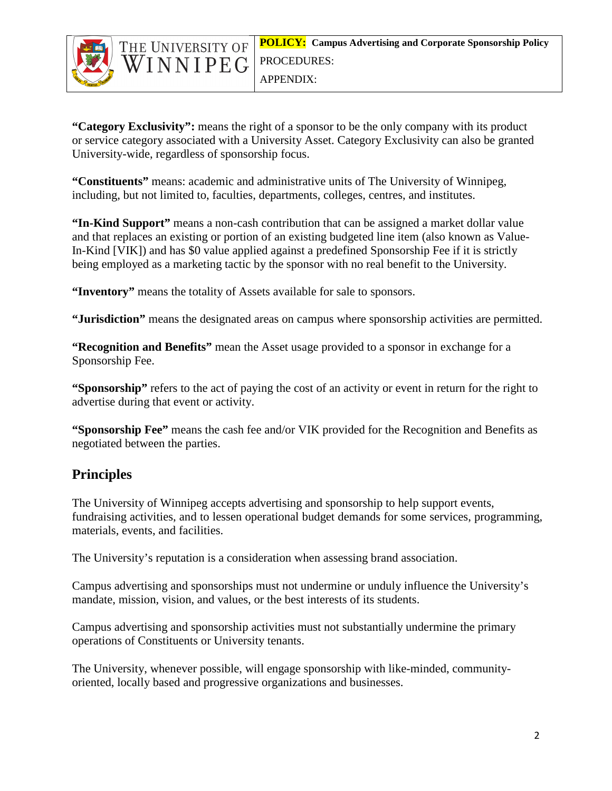

WINNIPEG

**"Category Exclusivity":** means the right of a sponsor to be the only company with its product or service category associated with a University Asset. Category Exclusivity can also be granted University-wide, regardless of sponsorship focus.

**"Constituents"** means: academic and administrative units of The University of Winnipeg, including, but not limited to, faculties, departments, colleges, centres, and institutes.

**"In-Kind Support"** means a non-cash contribution that can be assigned a market dollar value and that replaces an existing or portion of an existing budgeted line item (also known as Value-In-Kind [VIK]) and has \$0 value applied against a predefined Sponsorship Fee if it is strictly being employed as a marketing tactic by the sponsor with no real benefit to the University.

**"Inventory"** means the totality of Assets available for sale to sponsors.

**"Jurisdiction"** means the designated areas on campus where sponsorship activities are permitted.

**"Recognition and Benefits"** mean the Asset usage provided to a sponsor in exchange for a Sponsorship Fee.

**"Sponsorship"** refers to the act of paying the cost of an activity or event in return for the right to advertise during that event or activity.

**"Sponsorship Fee"** means the cash fee and/or VIK provided for the Recognition and Benefits as negotiated between the parties.

# **Principles**

The University of Winnipeg accepts advertising and sponsorship to help support events, fundraising activities, and to lessen operational budget demands for some services, programming, materials, events, and facilities.

The University's reputation is a consideration when assessing brand association.

Campus advertising and sponsorships must not undermine or unduly influence the University's mandate, mission, vision, and values, or the best interests of its students.

Campus advertising and sponsorship activities must not substantially undermine the primary operations of Constituents or University tenants.

The University, whenever possible, will engage sponsorship with like-minded, communityoriented, locally based and progressive organizations and businesses.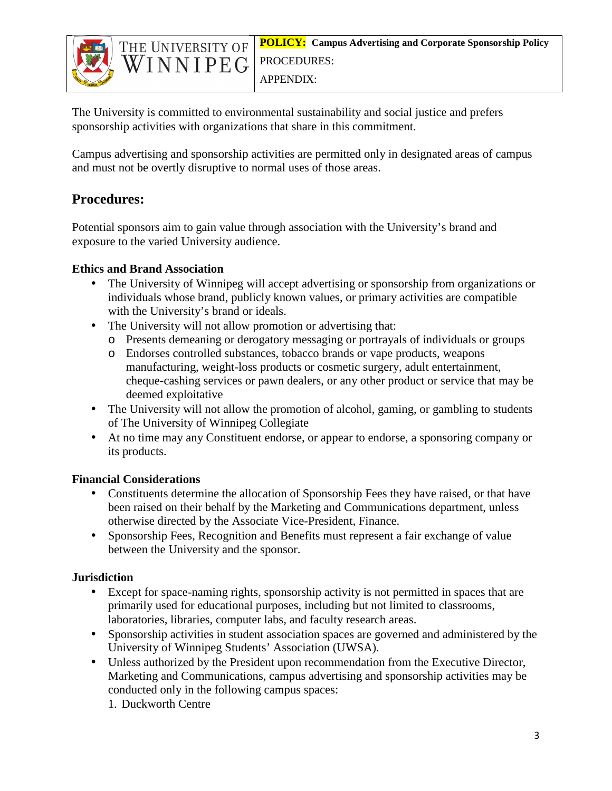



The University is committed to environmental sustainability and social justice and prefers sponsorship activities with organizations that share in this commitment.

Campus advertising and sponsorship activities are permitted only in designated areas of campus and must not be overtly disruptive to normal uses of those areas.

# **Procedures:**

Potential sponsors aim to gain value through association with the University's brand and exposure to the varied University audience.

### **Ethics and Brand Association**

- The University of Winnipeg will accept advertising or sponsorship from organizations or individuals whose brand, publicly known values, or primary activities are compatible with the University's brand or ideals.
- The University will not allow promotion or advertising that:
	- o Presents demeaning or derogatory messaging or portrayals of individuals or groups
	- o Endorses controlled substances, tobacco brands or vape products, weapons manufacturing, weight-loss products or cosmetic surgery, adult entertainment, cheque-cashing services or pawn dealers, or any other product or service that may be deemed exploitative
- The University will not allow the promotion of alcohol, gaming, or gambling to students of The University of Winnipeg Collegiate
- At no time may any Constituent endorse, or appear to endorse, a sponsoring company or its products.

### **Financial Considerations**

- Constituents determine the allocation of Sponsorship Fees they have raised, or that have been raised on their behalf by the Marketing and Communications department, unless otherwise directed by the Associate Vice-President, Finance.
- Sponsorship Fees, Recognition and Benefits must represent a fair exchange of value between the University and the sponsor.

# **Jurisdiction**

- Except for space-naming rights, sponsorship activity is not permitted in spaces that are primarily used for educational purposes, including but not limited to classrooms, laboratories, libraries, computer labs, and faculty research areas.
- Sponsorship activities in student association spaces are governed and administered by the University of Winnipeg Students' Association (UWSA).
- Unless authorized by the President upon recommendation from the Executive Director, Marketing and Communications, campus advertising and sponsorship activities may be conducted only in the following campus spaces:
	- 1. Duckworth Centre